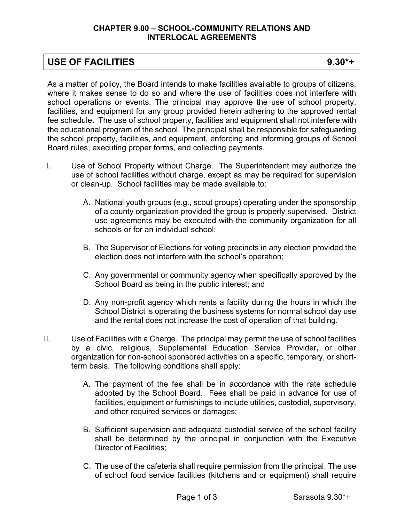#### **CHAPTER 9.00 – SCHOOL-COMMUNITY RELATIONS AND INTERLOCAL AGREEMENTS**

## **USE OF FACILITIES 9.30\*+**

As a matter of policy, the Board intends to make facilities available to groups of citizens, where it makes sense to do so and where the use of facilities does not interfere with school operations or events. The principal may approve the use of school property, facilities, and equipment for any group provided herein adhering to the approved rental fee schedule. The use of school property, facilities and equipment shall not interfere with the educational program of the school. The principal shall be responsible for safeguarding the school property, facilities, and equipment, enforcing and informing groups of School Board rules, executing proper forms, and collecting payments.

- I. Use of School Property without Charge. The Superintendent may authorize the use of school facilities without charge, except as may be required for supervision or clean-up. School facilities may be made available to:
	- A. National youth groups (e.g., scout groups) operating under the sponsorship of a county organization provided the group is properly supervised. District use agreements may be executed with the community organization for all schools or for an individual school;
	- B. The Supervisor of Elections for voting precincts in any election provided the election does not interfere with the school's operation;
	- C. Any governmental or community agency when specifically approved by the School Board as being in the public interest; and
	- D. Any non-profit agency which rents a facility during the hours in which the School District is operating the business systems for normal school day use and the rental does not increase the cost of operation of that building.
- II. Use of Facilities with a Charge. The principal may permit the use of school facilities by a civic, religious, Supplemental Education Service Provider**,** or other organization for non-school sponsored activities on a specific, temporary, or shortterm basis. The following conditions shall apply:
	- A. The payment of the fee shall be in accordance with the rate schedule adopted by the School Board. Fees shall be paid in advance for use of facilities, equipment or furnishings to include utilities, custodial, supervisory, and other required services or damages;
	- B. Sufficient supervision and adequate custodial service of the school facility shall be determined by the principal in conjunction with the Executive Director of Facilities;
	- C. The use of the cafeteria shall require permission from the principal. The use of school food service facilities (kitchens and or equipment) shall require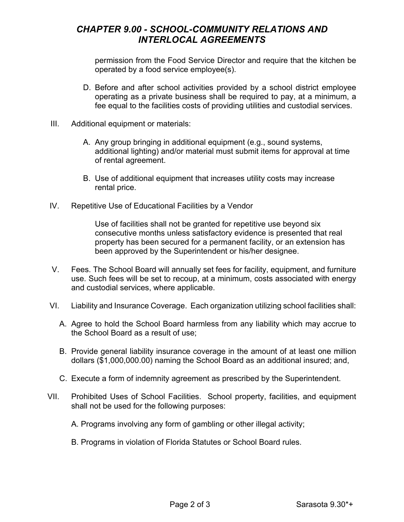# *CHAPTER 9.00 - SCHOOL-COMMUNITY RELATIONS AND INTERLOCAL AGREEMENTS*

permission from the Food Service Director and require that the kitchen be operated by a food service employee(s).

- D. Before and after school activities provided by a school district employee operating as a private business shall be required to pay, at a minimum, a fee equal to the facilities costs of providing utilities and custodial services.
- III. Additional equipment or materials:
	- A. Any group bringing in additional equipment (e.g., sound systems, additional lighting) and/or material must submit items for approval at time of rental agreement.
	- B. Use of additional equipment that increases utility costs may increase rental price.
- IV. Repetitive Use of Educational Facilities by a Vendor

Use of facilities shall not be granted for repetitive use beyond six consecutive months unless satisfactory evidence is presented that real property has been secured for a permanent facility, or an extension has been approved by the Superintendent or his/her designee.

- V. Fees. The School Board will annually set fees for facility, equipment, and furniture use. Such fees will be set to recoup, at a minimum, costs associated with energy and custodial services, where applicable.
- VI. Liability and Insurance Coverage. Each organization utilizing school facilities shall:
	- A. Agree to hold the School Board harmless from any liability which may accrue to the School Board as a result of use;
	- B. Provide general liability insurance coverage in the amount of at least one million dollars (\$1,000,000.00) naming the School Board as an additional insured; and,
	- C. Execute a form of indemnity agreement as prescribed by the Superintendent.
- VII. Prohibited Uses of School Facilities. School property, facilities, and equipment shall not be used for the following purposes:
	- A. Programs involving any form of gambling or other illegal activity;
	- B. Programs in violation of Florida Statutes or School Board rules.